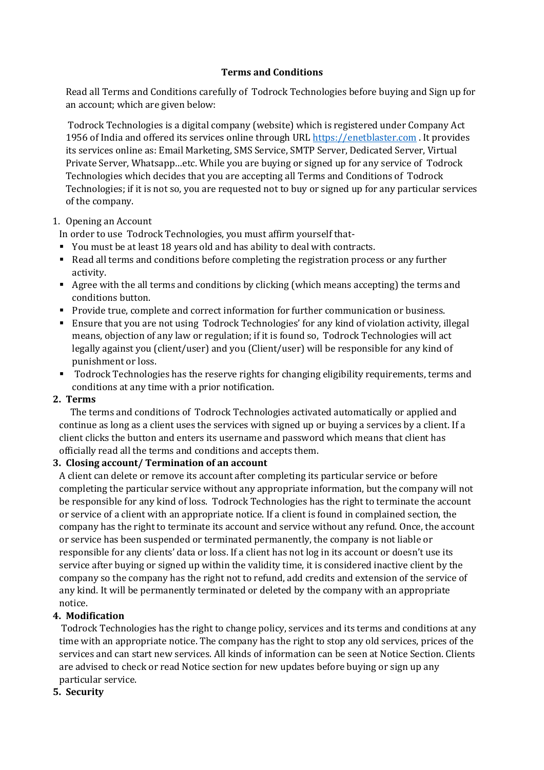### **Terms and Conditions**

Read all Terms and Conditions carefully of Todrock Technologies before buying and Sign up for an account; which are given below:

Todrock Technologies is a digital company (website) which is registered under Company Act 1956 of India and offered its services online through URL https://enetblaster.com . It provides its services online as: Email Marketing, SMS Service, SMTP Server, Dedicated Server, Virtual Private Server, Whatsapp...etc. While you are buying or signed up for any service of Todrock Technologies which decides that you are accepting all Terms and Conditions of Todrock Technologies; if it is not so, you are requested not to buy or signed up for any particular services of the company.

### 1. Opening an Account

In order to use Todrock Technologies, you must affirm yourself that-

- You must be at least 18 years old and has ability to deal with contracts.
- Read all terms and conditions before completing the registration process or any further activity.
- Agree with the all terms and conditions by clicking (which means accepting) the terms and conditions button.
- Provide true, complete and correct information for further communication or business.
- Ensure that you are not using Todrock Technologies' for any kind of violation activity, illegal means, objection of any law or regulation; if it is found so, Todrock Technologies will act legally against you (client/user) and you (Client/user) will be responsible for any kind of punishment or loss.
- Todrock Technologies has the reserve rights for changing eligibility requirements, terms and conditions at any time with a prior notification.

# **2. Terms**

The terms and conditions of Todrock Technologies activated automatically or applied and continue as long as a client uses the services with signed up or buying a services by a client. If a client clicks the button and enters its username and password which means that client has officially read all the terms and conditions and accepts them.

# **3. Closing account/ Termination of an account**

A client can delete or remove its account after completing its particular service or before completing the particular service without any appropriate information, but the company will not be responsible for any kind of loss. Todrock Technologies has the right to terminate the account or service of a client with an appropriate notice. If a client is found in complained section, the company has the right to terminate its account and service without any refund. Once, the account or service has been suspended or terminated permanently, the company is not liable or responsible for any clients' data or loss. If a client has not log in its account or doesn't use its service after buying or signed up within the validity time, it is considered inactive client by the company so the company has the right not to refund, add credits and extension of the service of any kind. It will be permanently terminated or deleted by the company with an appropriate notice. 

# **4. Modification**

Todrock Technologies has the right to change policy, services and its terms and conditions at any time with an appropriate notice. The company has the right to stop any old services, prices of the services and can start new services. All kinds of information can be seen at Notice Section. Clients are advised to check or read Notice section for new updates before buying or sign up any particular service.

### **5. Security**